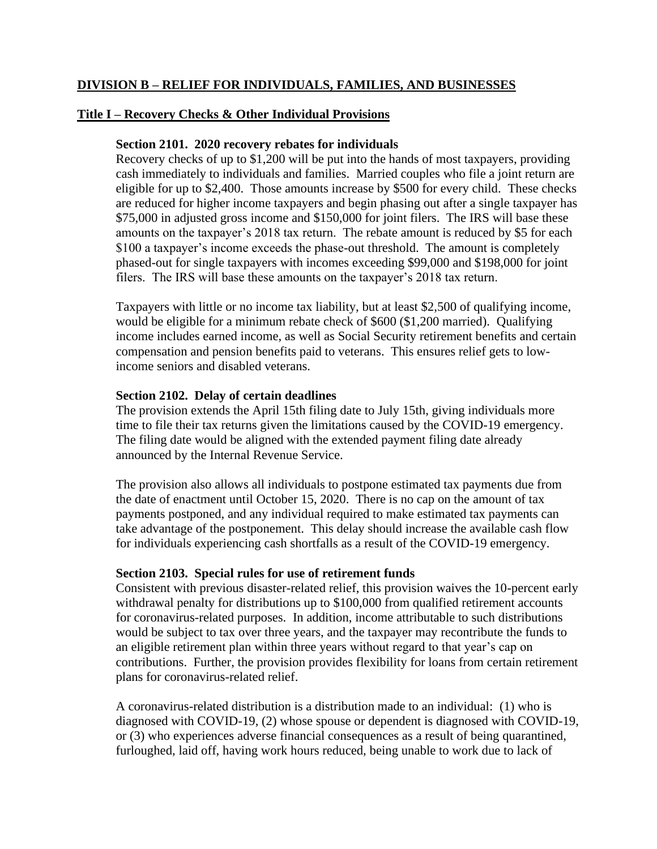# **DIVISION B – RELIEF FOR INDIVIDUALS, FAMILIES, AND BUSINESSES**

# **Title I – Recovery Checks & Other Individual Provisions**

# **Section 2101. 2020 recovery rebates for individuals**

Recovery checks of up to \$1,200 will be put into the hands of most taxpayers, providing cash immediately to individuals and families. Married couples who file a joint return are eligible for up to \$2,400. Those amounts increase by \$500 for every child. These checks are reduced for higher income taxpayers and begin phasing out after a single taxpayer has \$75,000 in adjusted gross income and \$150,000 for joint filers. The IRS will base these amounts on the taxpayer's 2018 tax return. The rebate amount is reduced by \$5 for each \$100 a taxpayer's income exceeds the phase-out threshold. The amount is completely phased-out for single taxpayers with incomes exceeding \$99,000 and \$198,000 for joint filers. The IRS will base these amounts on the taxpayer's 2018 tax return.

Taxpayers with little or no income tax liability, but at least \$2,500 of qualifying income, would be eligible for a minimum rebate check of \$600 (\$1,200 married). Qualifying income includes earned income, as well as Social Security retirement benefits and certain compensation and pension benefits paid to veterans. This ensures relief gets to lowincome seniors and disabled veterans.

### **Section 2102. Delay of certain deadlines**

The provision extends the April 15th filing date to July 15th, giving individuals more time to file their tax returns given the limitations caused by the COVID-19 emergency. The filing date would be aligned with the extended payment filing date already announced by the Internal Revenue Service.

The provision also allows all individuals to postpone estimated tax payments due from the date of enactment until October 15, 2020. There is no cap on the amount of tax payments postponed, and any individual required to make estimated tax payments can take advantage of the postponement. This delay should increase the available cash flow for individuals experiencing cash shortfalls as a result of the COVID-19 emergency.

# **Section 2103. Special rules for use of retirement funds**

Consistent with previous disaster-related relief, this provision waives the 10-percent early withdrawal penalty for distributions up to \$100,000 from qualified retirement accounts for coronavirus-related purposes. In addition, income attributable to such distributions would be subject to tax over three years, and the taxpayer may recontribute the funds to an eligible retirement plan within three years without regard to that year's cap on contributions. Further, the provision provides flexibility for loans from certain retirement plans for coronavirus-related relief.

A coronavirus-related distribution is a distribution made to an individual: (1) who is diagnosed with COVID-19, (2) whose spouse or dependent is diagnosed with COVID-19, or (3) who experiences adverse financial consequences as a result of being quarantined, furloughed, laid off, having work hours reduced, being unable to work due to lack of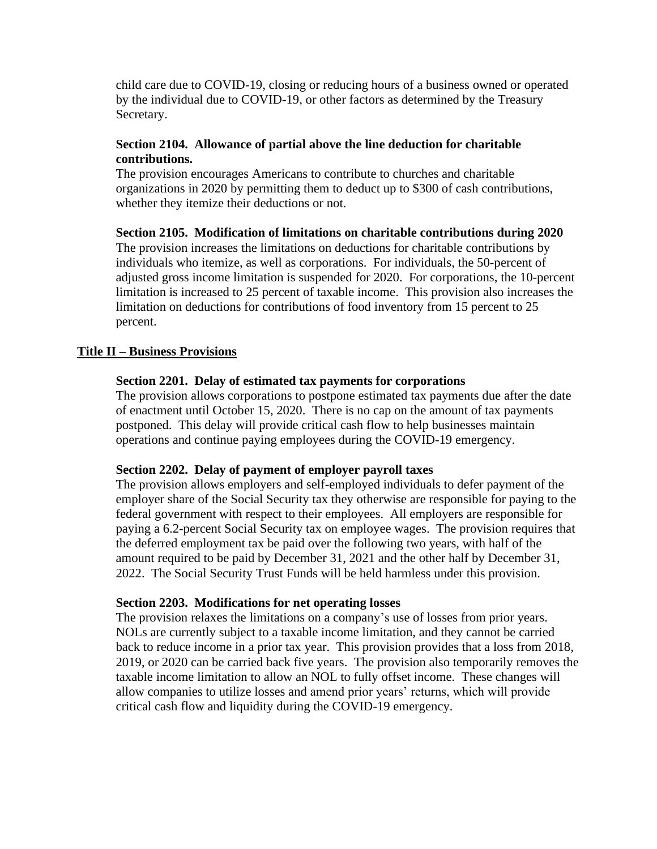child care due to COVID-19, closing or reducing hours of a business owned or operated by the individual due to COVID-19, or other factors as determined by the Treasury Secretary.

### **Section 2104. Allowance of partial above the line deduction for charitable contributions.**

The provision encourages Americans to contribute to churches and charitable organizations in 2020 by permitting them to deduct up to \$300 of cash contributions, whether they itemize their deductions or not.

**Section 2105. Modification of limitations on charitable contributions during 2020** The provision increases the limitations on deductions for charitable contributions by individuals who itemize, as well as corporations. For individuals, the 50-percent of adjusted gross income limitation is suspended for 2020. For corporations, the 10-percent limitation is increased to 25 percent of taxable income. This provision also increases the limitation on deductions for contributions of food inventory from 15 percent to 25 percent.

### **Title II – Business Provisions**

#### **Section 2201. Delay of estimated tax payments for corporations**

The provision allows corporations to postpone estimated tax payments due after the date of enactment until October 15, 2020. There is no cap on the amount of tax payments postponed. This delay will provide critical cash flow to help businesses maintain operations and continue paying employees during the COVID-19 emergency.

#### **Section 2202. Delay of payment of employer payroll taxes**

The provision allows employers and self-employed individuals to defer payment of the employer share of the Social Security tax they otherwise are responsible for paying to the federal government with respect to their employees. All employers are responsible for paying a 6.2-percent Social Security tax on employee wages. The provision requires that the deferred employment tax be paid over the following two years, with half of the amount required to be paid by December 31, 2021 and the other half by December 31, 2022. The Social Security Trust Funds will be held harmless under this provision.

#### **Section 2203. Modifications for net operating losses**

The provision relaxes the limitations on a company's use of losses from prior years. NOLs are currently subject to a taxable income limitation, and they cannot be carried back to reduce income in a prior tax year. This provision provides that a loss from 2018, 2019, or 2020 can be carried back five years. The provision also temporarily removes the taxable income limitation to allow an NOL to fully offset income. These changes will allow companies to utilize losses and amend prior years' returns, which will provide critical cash flow and liquidity during the COVID-19 emergency.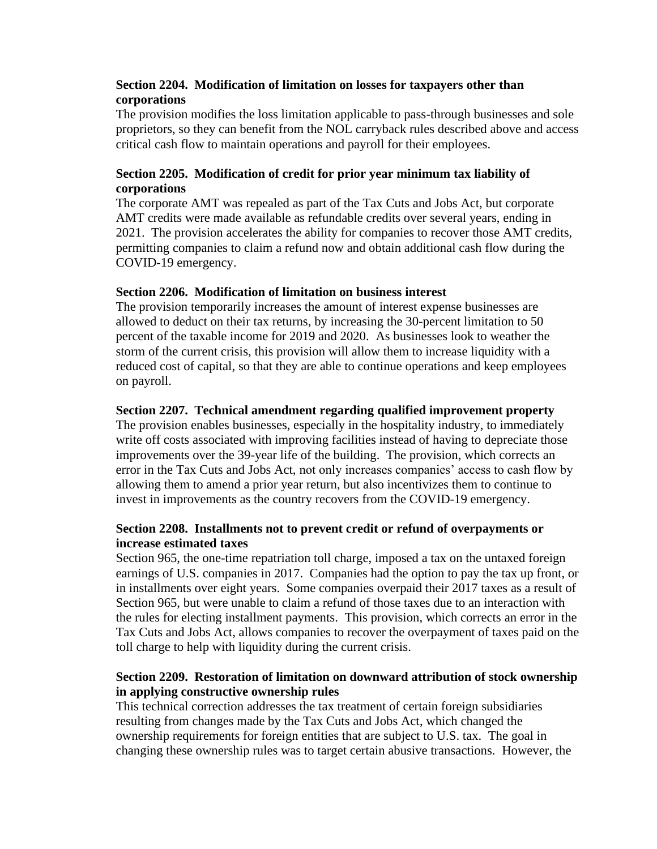## **Section 2204. Modification of limitation on losses for taxpayers other than corporations**

The provision modifies the loss limitation applicable to pass-through businesses and sole proprietors, so they can benefit from the NOL carryback rules described above and access critical cash flow to maintain operations and payroll for their employees.

# **Section 2205. Modification of credit for prior year minimum tax liability of corporations**

The corporate AMT was repealed as part of the Tax Cuts and Jobs Act, but corporate AMT credits were made available as refundable credits over several years, ending in 2021. The provision accelerates the ability for companies to recover those AMT credits, permitting companies to claim a refund now and obtain additional cash flow during the COVID-19 emergency.

### **Section 2206. Modification of limitation on business interest**

The provision temporarily increases the amount of interest expense businesses are allowed to deduct on their tax returns, by increasing the 30-percent limitation to 50 percent of the taxable income for 2019 and 2020. As businesses look to weather the storm of the current crisis, this provision will allow them to increase liquidity with a reduced cost of capital, so that they are able to continue operations and keep employees on payroll.

### **Section 2207. Technical amendment regarding qualified improvement property**

The provision enables businesses, especially in the hospitality industry, to immediately write off costs associated with improving facilities instead of having to depreciate those improvements over the 39-year life of the building. The provision, which corrects an error in the Tax Cuts and Jobs Act, not only increases companies' access to cash flow by allowing them to amend a prior year return, but also incentivizes them to continue to invest in improvements as the country recovers from the COVID-19 emergency.

### **Section 2208. Installments not to prevent credit or refund of overpayments or increase estimated taxes**

Section 965, the one-time repatriation toll charge, imposed a tax on the untaxed foreign earnings of U.S. companies in 2017. Companies had the option to pay the tax up front, or in installments over eight years. Some companies overpaid their 2017 taxes as a result of Section 965, but were unable to claim a refund of those taxes due to an interaction with the rules for electing installment payments. This provision, which corrects an error in the Tax Cuts and Jobs Act, allows companies to recover the overpayment of taxes paid on the toll charge to help with liquidity during the current crisis.

### **Section 2209. Restoration of limitation on downward attribution of stock ownership in applying constructive ownership rules**

This technical correction addresses the tax treatment of certain foreign subsidiaries resulting from changes made by the Tax Cuts and Jobs Act, which changed the ownership requirements for foreign entities that are subject to U.S. tax. The goal in changing these ownership rules was to target certain abusive transactions. However, the